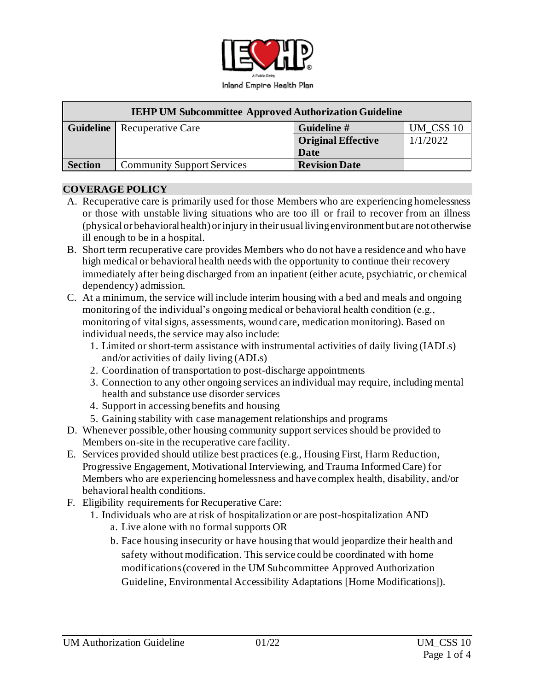

| <b>IEHP UM Subcommittee Approved Authorization Guideline</b> |                                      |                           |           |
|--------------------------------------------------------------|--------------------------------------|---------------------------|-----------|
|                                                              | <b>Guideline</b>   Recuperative Care | Guideline #               | UM CSS 10 |
|                                                              |                                      | <b>Original Effective</b> | 1/1/2022  |
|                                                              |                                      | Date                      |           |
| <b>Section</b>                                               | <b>Community Support Services</b>    | <b>Revision Date</b>      |           |

#### **COVERAGE POLICY**

- A. Recuperative care is primarily used for those Members who are experiencing homelessness or those with unstable living situations who are too ill or frail to recover from an illness (physical or behavioral health) or injury in their usual living environment but are not otherwise ill enough to be in a hospital.
- B. Short term recuperative care provides Members who do not have a residence and who have high medical or behavioral health needs with the opportunity to continue their recovery immediately after being discharged from an inpatient (either acute, psychiatric, or chemical dependency) admission.
- C. At a minimum, the service will include interim housing with a bed and meals and ongoing monitoring of the individual's ongoing medical or behavioral health condition (e.g., monitoring of vital signs, assessments, wound care, medication monitoring). Based on individual needs, the service may also include:
	- 1. Limited or short-term assistance with instrumental activities of daily living (IADLs) and/or activities of daily living (ADLs)
	- 2. Coordination of transportation to post-discharge appointments
	- 3. Connection to any other ongoing services an individual may require, including mental health and substance use disorder services
	- 4. Support in accessing benefits and housing
	- 5. Gaining stability with case management relationships and programs
- D. Whenever possible, other housing community support services should be provided to Members on-site in the recuperative care facility.
- E. Services provided should utilize best practices (e.g., Housing First, Harm Reduction, Progressive Engagement, Motivational Interviewing, and Trauma Informed Care) for Members who are experiencing homelessness and have complex health, disability, and/or behavioral health conditions.
- F. Eligibility requirements for Recuperative Care:
	- 1. Individuals who are at risk of hospitalization or are post-hospitalization AND a. Live alone with no formal supports OR
		- b. Face housing insecurity or have housing that would jeopardize their health and safety without modification. This service could be coordinated with home modifications (covered in the UM Subcommittee Approved Authorization Guideline, Environmental Accessibility Adaptations [Home Modifications]).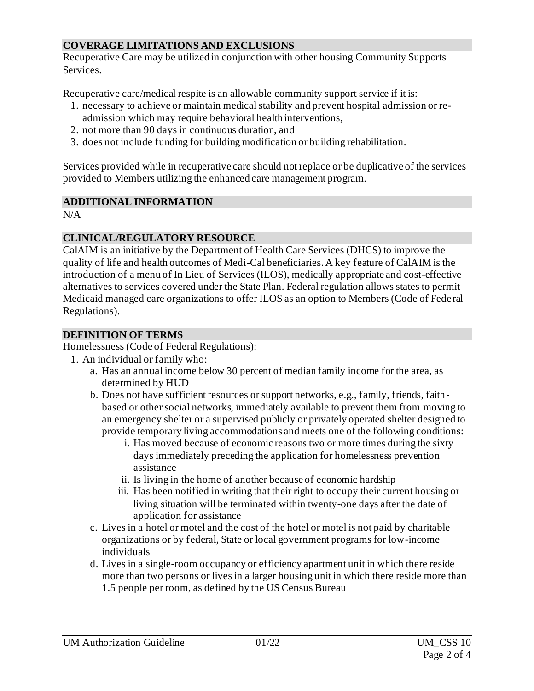## **COVERAGE LIMITATIONS AND EXCLUSIONS**

Recuperative Care may be utilized in conjunction with other housing Community Supports Services.

Recuperative care/medical respite is an allowable community support service if it is:

- 1. necessary to achieve or maintain medical stability and prevent hospital admission or readmission which may require behavioral health interventions,
- 2. not more than 90 days in continuous duration, and
- 3. does not include funding for building modification or building rehabilitation.

Services provided while in recuperative care should not replace or be duplicative of the services provided to Members utilizing the enhanced care management program.

## **ADDITIONAL INFORMATION**

 $N/A$ 

### **CLINICAL/REGULATORY RESOURCE**

CalAIM is an initiative by the Department of Health Care Services (DHCS) to improve the quality of life and health outcomes of Medi-Cal beneficiaries. A key feature of CalAIM is the introduction of a menu of In Lieu of Services (ILOS), medically appropriate and cost-effective alternatives to services covered under the State Plan. Federal regulation allows states to permit Medicaid managed care organizations to offer ILOS as an option to Members (Code of Fede ral Regulations).

### **DEFINITION OF TERMS**

Homelessness (Code of Federal Regulations):

- 1. An individual or family who:
	- a. Has an annual income below 30 percent of median family income for the area, as determined by HUD
	- b. Does not have sufficient resources or support networks, e.g., family, friends, faithbased or other social networks, immediately available to prevent them from moving to an emergency shelter or a supervised publicly or privately operated shelter designed to provide temporary living accommodations and meets one of the following conditions:
		- i. Has moved because of economic reasons two or more times during the sixty days immediately preceding the application for homelessness prevention assistance
		- ii. Is living in the home of another because of economic hardship
		- iii. Has been notified in writing that their right to occupy their current housing or living situation will be terminated within twenty-one days after the date of application for assistance
	- c. Lives in a hotel or motel and the cost of the hotel or motel is not paid by charitable organizations or by federal, State or local government programs for low-income individuals
	- d. Lives in a single-room occupancy or efficiency apartment unit in which there reside more than two persons or lives in a larger housing unit in which there reside more than 1.5 people per room, as defined by the US Census Bureau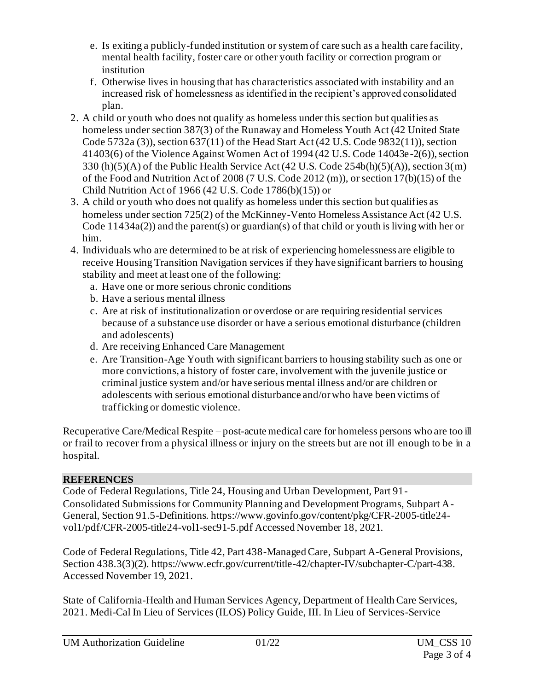- e. Is exiting a publicly-funded institution or system of care such as a health care facility, mental health facility, foster care or other youth facility or correction program or institution
- f. Otherwise lives in housing that has characteristics associated with instability and an increased risk of homelessness as identified in the recipient's approved consolidated plan.
- 2. A child or youth who does not qualify as homeless under this section but qualifies as homeless under section 387(3) of the Runaway and Homeless Youth Act (42 United State Code 5732a (3)), section 637(11) of the Head Start Act (42 U.S. Code 9832(11)), section 41403(6) of the Violence Against Women Act of 1994 (42 U.S. Code 14043e-2(6)), section 330 (h)(5)(A) of the Public Health Service Act (42 U.S. Code 254b(h)(5)(A)), section 3(m) of the Food and Nutrition Act of 2008 (7 U.S. Code 2012 (m)), or section 17(b)(15) of the Child Nutrition Act of 1966 (42 U.S. Code 1786(b)(15)) or
- 3. A child or youth who does not qualify as homeless under this section but qualifies as homeless under section 725(2) of the McKinney-Vento Homeless Assistance Act (42 U.S. Code 11434a(2)) and the parent(s) or guardian(s) of that child or youth is living with her or him.
- 4. Individuals who are determined to be at risk of experiencing homelessness are eligible to receive Housing Transition Navigation services if they have significant barriers to housing stability and meet at least one of the following:
	- a. Have one or more serious chronic conditions
	- b. Have a serious mental illness
	- c. Are at risk of institutionalization or overdose or are requiring residential services because of a substance use disorder or have a serious emotional disturbance (children and adolescents)
	- d. Are receiving Enhanced Care Management
	- e. Are Transition-Age Youth with significant barriers to housing stability such as one or more convictions, a history of foster care, involvement with the juvenile justice or criminal justice system and/or have serious mental illness and/or are children or adolescents with serious emotional disturbance and/or who have been victims of trafficking or domestic violence.

Recuperative Care/Medical Respite – post-acute medical care for homeless persons who are too ill or frail to recover from a physical illness or injury on the streets but are not ill enough to be in a hospital.

# **REFERENCES**

Code of Federal Regulations, Title 24, Housing and Urban Development, Part 91- Consolidated Submissions for Community Planning and Development Programs, Subpart A-General, Section 91.5-Definitions[. https://www.govinfo.gov/content/pkg/CFR-2005-title24](https://www.govinfo.gov/content/pkg/CFR-2005-title24-vol1/pdf/CFR-2005-title24-vol1-sec91-5.pdf%20Accessed%20November%2018) [vol1/pdf/CFR-2005-title24-vol1-sec91-5.pdf Accessed November 18](https://www.govinfo.gov/content/pkg/CFR-2005-title24-vol1/pdf/CFR-2005-title24-vol1-sec91-5.pdf%20Accessed%20November%2018), 2021.

Code of Federal Regulations, Title 42, Part 438-Managed Care, Subpart A-General Provisions, Section 438.3(3)(2)[. https://www.ecfr.gov/current/title-42/chapter-IV/subchapter-C/part-438](https://www.ecfr.gov/current/title-42/chapter-IV/subchapter-C/part-438). Accessed November 19, 2021.

State of California-Health and Human Services Agency, Department of Health Care Services, 2021. Medi-Cal In Lieu of Services (ILOS) Policy Guide, III. In Lieu of Services-Service